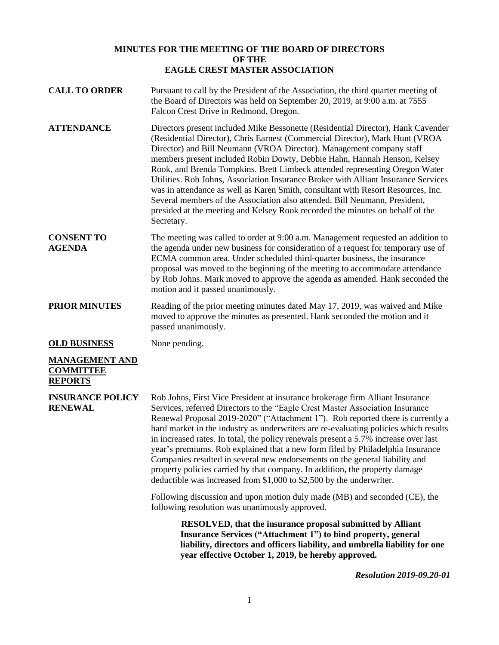## **MINUTES FOR THE MEETING OF THE BOARD OF DIRECTORS OF THE EAGLE CREST MASTER ASSOCIATION**

- **CALL TO ORDER** Pursuant to call by the President of the Association, the third quarter meeting of the Board of Directors was held on September 20, 2019, at 9:00 a.m. at 7555 Falcon Crest Drive in Redmond, Oregon.
- **ATTENDANCE** Directors present included Mike Bessonette (Residential Director), Hank Cavender (Residential Director), Chris Earnest (Commercial Director), Mark Hunt (VROA Director) and Bill Neumann (VROA Director). Management company staff members present included Robin Dowty, Debbie Hahn, Hannah Henson, Kelsey Rook, and Brenda Tompkins. Brett Limbeck attended representing Oregon Water Utilities. Rob Johns, Association Insurance Broker with Alliant Insurance Services was in attendance as well as Karen Smith, consultant with Resort Resources, Inc. Several members of the Association also attended. Bill Neumann, President, presided at the meeting and Kelsey Rook recorded the minutes on behalf of the Secretary.
- **CONSENT TO AGENDA** The meeting was called to order at 9:00 a.m. Management requested an addition to the agenda under new business for consideration of a request for temporary use of ECMA common area. Under scheduled third-quarter business, the insurance proposal was moved to the beginning of the meeting to accommodate attendance by Rob Johns. Mark moved to approve the agenda as amended. Hank seconded the motion and it passed unanimously.
- **PRIOR MINUTES** Reading of the prior meeting minutes dated May 17, 2019, was waived and Mike moved to approve the minutes as presented. Hank seconded the motion and it passed unanimously.

**OLD BUSINESS** None pending.

## **MANAGEMENT AND COMMITTEE REPORTS**

**INSURANCE POLICY RENEWAL** Rob Johns, First Vice President at insurance brokerage firm Alliant Insurance Services, referred Directors to the "Eagle Crest Master Association Insurance Renewal Proposal 2019-2020" ("Attachment 1"). Rob reported there is currently a hard market in the industry as underwriters are re-evaluating policies which results in increased rates. In total, the policy renewals present a 5.7% increase over last year's premiums. Rob explained that a new form filed by Philadelphia Insurance Companies resulted in several new endorsements on the general liability and property policies carried by that company. In addition, the property damage deductible was increased from \$1,000 to \$2,500 by the underwriter.

> Following discussion and upon motion duly made (MB) and seconded (CE), the following resolution was unanimously approved.

> > **RESOLVED, that the insurance proposal submitted by Alliant Insurance Services ("Attachment 1") to bind property, general liability, directors and officers liability, and umbrella liability for one year effective October 1, 2019, be hereby approved.**

> > > *Resolution 2019-09.20-01*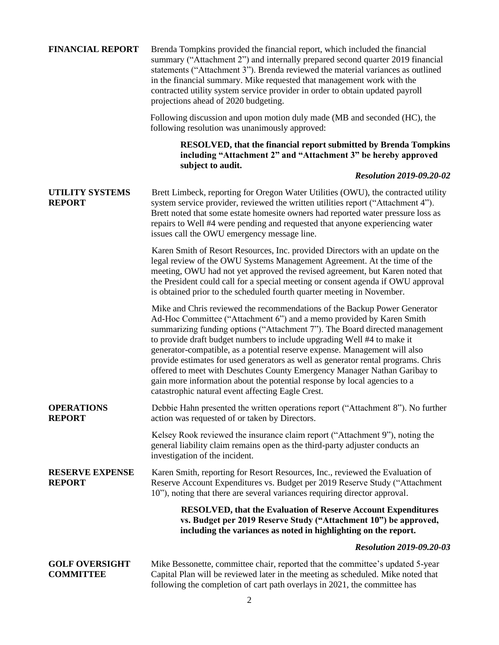| <b>FINANCIAL REPORT</b>                   | Brenda Tompkins provided the financial report, which included the financial<br>summary ("Attachment 2") and internally prepared second quarter 2019 financial<br>statements ("Attachment 3"). Brenda reviewed the material variances as outlined<br>in the financial summary. Mike requested that management work with the<br>contracted utility system service provider in order to obtain updated payroll<br>projections ahead of 2020 budgeting.                                                                                                                                                                                                                                           |
|-------------------------------------------|-----------------------------------------------------------------------------------------------------------------------------------------------------------------------------------------------------------------------------------------------------------------------------------------------------------------------------------------------------------------------------------------------------------------------------------------------------------------------------------------------------------------------------------------------------------------------------------------------------------------------------------------------------------------------------------------------|
|                                           | Following discussion and upon motion duly made (MB and seconded (HC), the<br>following resolution was unanimously approved:                                                                                                                                                                                                                                                                                                                                                                                                                                                                                                                                                                   |
|                                           | <b>RESOLVED, that the financial report submitted by Brenda Tompkins</b><br>including "Attachment 2" and "Attachment 3" be hereby approved<br>subject to audit.                                                                                                                                                                                                                                                                                                                                                                                                                                                                                                                                |
|                                           | <b>Resolution 2019-09.20-02</b>                                                                                                                                                                                                                                                                                                                                                                                                                                                                                                                                                                                                                                                               |
| <b>UTILITY SYSTEMS</b><br><b>REPORT</b>   | Brett Limbeck, reporting for Oregon Water Utilities (OWU), the contracted utility<br>system service provider, reviewed the written utilities report ("Attachment 4").<br>Brett noted that some estate homesite owners had reported water pressure loss as<br>repairs to Well #4 were pending and requested that anyone experiencing water<br>issues call the OWU emergency message line.                                                                                                                                                                                                                                                                                                      |
|                                           | Karen Smith of Resort Resources, Inc. provided Directors with an update on the<br>legal review of the OWU Systems Management Agreement. At the time of the<br>meeting, OWU had not yet approved the revised agreement, but Karen noted that<br>the President could call for a special meeting or consent agenda if OWU approval<br>is obtained prior to the scheduled fourth quarter meeting in November.                                                                                                                                                                                                                                                                                     |
|                                           | Mike and Chris reviewed the recommendations of the Backup Power Generator<br>Ad-Hoc Committee ("Attachment 6") and a memo provided by Karen Smith<br>summarizing funding options ("Attachment 7"). The Board directed management<br>to provide draft budget numbers to include upgrading Well #4 to make it<br>generator-compatible, as a potential reserve expense. Management will also<br>provide estimates for used generators as well as generator rental programs. Chris<br>offered to meet with Deschutes County Emergency Manager Nathan Garibay to<br>gain more information about the potential response by local agencies to a<br>catastrophic natural event affecting Eagle Crest. |
| <b>OPERATIONS</b><br><b>REPORT</b>        | Debbie Hahn presented the written operations report ("Attachment 8"). No further<br>action was requested of or taken by Directors.                                                                                                                                                                                                                                                                                                                                                                                                                                                                                                                                                            |
|                                           | Kelsey Rook reviewed the insurance claim report ("Attachment 9"), noting the<br>general liability claim remains open as the third-party adjuster conducts an<br>investigation of the incident.                                                                                                                                                                                                                                                                                                                                                                                                                                                                                                |
| <b>RESERVE EXPENSE</b><br><b>REPORT</b>   | Karen Smith, reporting for Resort Resources, Inc., reviewed the Evaluation of<br>Reserve Account Expenditures vs. Budget per 2019 Reserve Study ("Attachment<br>10"), noting that there are several variances requiring director approval.                                                                                                                                                                                                                                                                                                                                                                                                                                                    |
|                                           | <b>RESOLVED, that the Evaluation of Reserve Account Expenditures</b><br>vs. Budget per 2019 Reserve Study ("Attachment 10") be approved,<br>including the variances as noted in highlighting on the report.                                                                                                                                                                                                                                                                                                                                                                                                                                                                                   |
|                                           | <b>Resolution 2019-09.20-03</b>                                                                                                                                                                                                                                                                                                                                                                                                                                                                                                                                                                                                                                                               |
| <b>GOLF OVERSIGHT</b><br><b>COMMITTEE</b> | Mike Bessonette, committee chair, reported that the committee's updated 5-year<br>Capital Plan will be reviewed later in the meeting as scheduled. Mike noted that<br>following the completion of cart path overlays in 2021, the committee has                                                                                                                                                                                                                                                                                                                                                                                                                                               |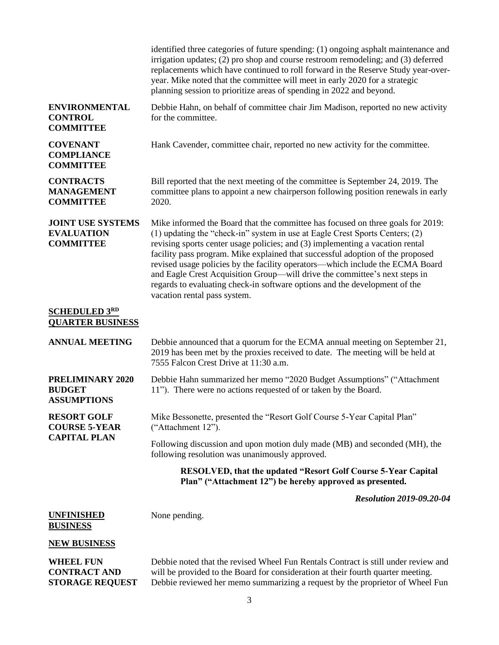|                                                                   | identified three categories of future spending: (1) ongoing asphalt maintenance and<br>irrigation updates; (2) pro shop and course restroom remodeling; and (3) deferred<br>replacements which have continued to roll forward in the Reserve Study year-over-<br>year. Mike noted that the committee will meet in early 2020 for a strategic<br>planning session to prioritize areas of spending in 2022 and beyond.                                                                                                                                                                                            |
|-------------------------------------------------------------------|-----------------------------------------------------------------------------------------------------------------------------------------------------------------------------------------------------------------------------------------------------------------------------------------------------------------------------------------------------------------------------------------------------------------------------------------------------------------------------------------------------------------------------------------------------------------------------------------------------------------|
| <b>ENVIRONMENTAL</b><br><b>CONTROL</b><br><b>COMMITTEE</b>        | Debbie Hahn, on behalf of committee chair Jim Madison, reported no new activity<br>for the committee.                                                                                                                                                                                                                                                                                                                                                                                                                                                                                                           |
| <b>COVENANT</b><br><b>COMPLIANCE</b><br><b>COMMITTEE</b>          | Hank Cavender, committee chair, reported no new activity for the committee.                                                                                                                                                                                                                                                                                                                                                                                                                                                                                                                                     |
| <b>CONTRACTS</b><br><b>MANAGEMENT</b><br><b>COMMITTEE</b>         | Bill reported that the next meeting of the committee is September 24, 2019. The<br>committee plans to appoint a new chairperson following position renewals in early<br>2020.                                                                                                                                                                                                                                                                                                                                                                                                                                   |
| <b>JOINT USE SYSTEMS</b><br><b>EVALUATION</b><br><b>COMMITTEE</b> | Mike informed the Board that the committee has focused on three goals for 2019:<br>(1) updating the "check-in" system in use at Eagle Crest Sports Centers; (2)<br>revising sports center usage policies; and (3) implementing a vacation rental<br>facility pass program. Mike explained that successful adoption of the proposed<br>revised usage policies by the facility operators—which include the ECMA Board<br>and Eagle Crest Acquisition Group—will drive the committee's next steps in<br>regards to evaluating check-in software options and the development of the<br>vacation rental pass system. |
| <b>SCHEDULED 3RD</b><br><b>QUARTER BUSINESS</b>                   |                                                                                                                                                                                                                                                                                                                                                                                                                                                                                                                                                                                                                 |
| <b>ANNUAL MEETING</b>                                             | Debbie announced that a quorum for the ECMA annual meeting on September 21,<br>2019 has been met by the proxies received to date. The meeting will be held at<br>7555 Falcon Crest Drive at 11:30 a.m.                                                                                                                                                                                                                                                                                                                                                                                                          |
| PRELIMINARY 2020<br><b>BUDGET</b><br><b>ASSUMPTIONS</b>           | Debbie Hahn summarized her memo "2020 Budget Assumptions" ("Attachment<br>11"). There were no actions requested of or taken by the Board.                                                                                                                                                                                                                                                                                                                                                                                                                                                                       |
| <b>RESORT GOLF</b><br><b>COURSE 5-YEAR</b><br><b>CAPITAL PLAN</b> | Mike Bessonette, presented the "Resort Golf Course 5-Year Capital Plan"<br>("Attachment 12").                                                                                                                                                                                                                                                                                                                                                                                                                                                                                                                   |
|                                                                   | Following discussion and upon motion duly made (MB) and seconded (MH), the<br>following resolution was unanimously approved.                                                                                                                                                                                                                                                                                                                                                                                                                                                                                    |
|                                                                   | <b>RESOLVED, that the updated "Resort Golf Course 5-Year Capital</b><br>Plan" ("Attachment 12") be hereby approved as presented.                                                                                                                                                                                                                                                                                                                                                                                                                                                                                |
|                                                                   | <b>Resolution 2019-09.20-04</b>                                                                                                                                                                                                                                                                                                                                                                                                                                                                                                                                                                                 |
| <b>UNFINISHED</b><br><b>BUSINESS</b>                              | None pending.                                                                                                                                                                                                                                                                                                                                                                                                                                                                                                                                                                                                   |
| <b>NEW BUSINESS</b>                                               |                                                                                                                                                                                                                                                                                                                                                                                                                                                                                                                                                                                                                 |
| <b>WHEEL FUN</b><br><b>CONTRACT AND</b><br><b>STORAGE REQUEST</b> | Debbie noted that the revised Wheel Fun Rentals Contract is still under review and<br>will be provided to the Board for consideration at their fourth quarter meeting.<br>Debbie reviewed her memo summarizing a request by the proprietor of Wheel Fun                                                                                                                                                                                                                                                                                                                                                         |